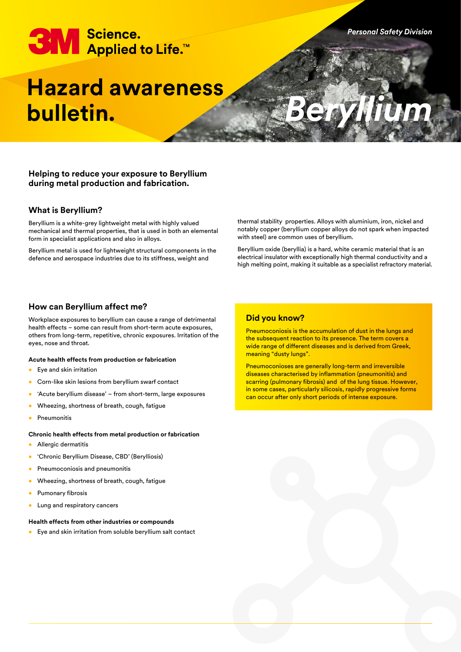# **3M** Science.<br>Applied to Life.™

# **Hazard awareness bulletin.**

# **Helping to reduce your exposure to Beryllium during metal production and fabrication.**

# **What is Beryllium?**

Beryllium is a white-grey lightweight metal with highly valued mechanical and thermal properties, that is used in both an elemental form in specialist applications and also in alloys.

Beryllium metal is used for lightweight structural components in the defence and aerospace industries due to its stiffness, weight and

thermal stability properties. Alloys with aluminium, iron, nickel and notably copper (beryllium copper alloys do not spark when impacted with steel) are common uses of beryllium.

*Personal Safety Division*

*Beryllium*

Beryllium oxide (beryllia) is a hard, white ceramic material that is an electrical insulator with exceptionally high thermal conductivity and a high melting point, making it suitable as a specialist refractory material.

# **How can Beryllium affect me?**

Workplace exposures to beryllium can cause a range of detrimental health effects – some can result from short-term acute exposures, others from long-term, repetitive, chronic exposures. Irritation of the eyes, nose and throat.

#### **Acute health effects from production or fabrication**

- Eye and skin irritation
- Corn-like skin lesions from beryllium swarf contact
- 'Acute beryllium disease' from short-term, large exposures
- Wheezing, shortness of breath, cough, fatigue
- Pneumonitis

## **Chronic health effects from metal production or fabrication**

- Allergic dermatitis
- 'Chronic Beryllium Disease, CBD' (Berylliosis)
- Pneumoconiosis and pneumonitis
- Wheezing, shortness of breath, cough, fatigue
- Pumonary fibrosis
- Lung and respiratory cancers

## **Health effects from other industries or compounds**

• Eye and skin irritation from soluble beryllium salt contact

# **Did you know?**

Pneumoconiosis is the accumulation of dust in the lungs and the subsequent reaction to its presence. The term covers a wide range of different diseases and is derived from Greek, meaning "dusty lungs".

Pneumoconioses are generally long-term and irreversible diseases characterised by inflammation (pneumonitis) and scarring (pulmonary fibrosis) and of the lung tissue. However, in some cases, particularly silicosis, rapidly progressive forms can occur after only short periods of intense exposure.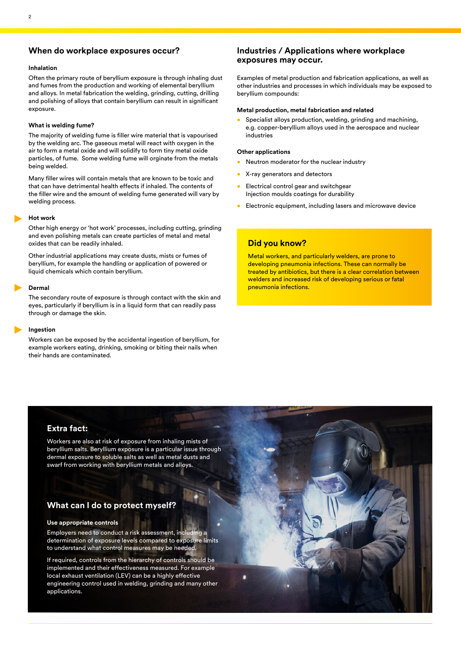# **When do workplace exposures occur?**

#### **Inhalation**

Often the primary route of beryllium exposure is through inhaling dust and fumes from the production and working of elemental beryllium and alloys. In metal fabrication the welding, grinding, cutting, drilling and polishing of alloys that contain beryllium can result in significant exposure.

#### **What is welding fume?**

The majority of welding fume is filler wire material that is vapourised by the welding arc. The gaseous metal will react with oxygen in the air to form a metal oxide and will solidify to form tiny metal oxide particles, of fume. Some welding fume will orginate from the metals being welded.

Many filler wires will contain metals that are known to be toxic and that can have detrimental health effects if inhaled. The contents of the filler wire and the amount of welding fume generated will vary by welding process.

#### **Hot work**

Other high energy or 'hot work' processes, including cutting, grinding and even polishing metals can create particles of metal and metal oxides that can be readily inhaled.

Other industrial applications may create dusts, mists or fumes of beryllium, for example the handling or application of powered or liquid chemicals which contain beryllium.

#### **Dermal**

The secondary route of exposure is through contact with the skin and eyes, particularly if beryllium is in a liquid form that can readily pass through or damage the skin.

#### **Ingestion**

Workers can be exposed by the accidental ingestion of beryllium, for example workers eating, drinking, smoking or biting their nails when their hands are contaminated.

# **Industries / Applications where workplace exposures may occur.**

Examples of metal production and fabrication applications, as well as other industries and processes in which individuals may be exposed to beryllium compounds:

#### **Metal production, metal fabrication and related**

Specialist alloys production, welding, grinding and machining, e.g. copper-beryllium alloys used in the aerospace and nuclear industries

#### **Other applications**

- Neutron moderator for the nuclear industry
- X-ray generators and detectors
- Electrical control gear and switchgear Injection moulds coatings for durability
- Electronic equipment, including lasers and microwave device

# **Did you know?**

Metal workers, and particularly welders, are prone to developing pneumonia infections. These can normally be treated by antibiotics, but there is a clear correlation between welders and increased risk of developing serious or fatal pneumonia infections.

# **Extra fact:**

Workers are also at risk of exposure from inhaling mists of beryllium salts. Beryllium exposure is a particular issue through dermal exposure to soluble salts as well as metal dusts and swarf from working with beryllium metals and alloys.

# **What can I do to protect myself?**

#### **Use appropriate controls**

Employers need to conduct a risk assessment, including a determination of exposure levels compared to exposure limits to understand what control measures may be needed.

If required, controls from the hierarchy of controls should be implemented and their effectiveness measured. For example local exhaust ventilation (LEV) can be a highly effective engineering control used in welding, grinding and many other applications.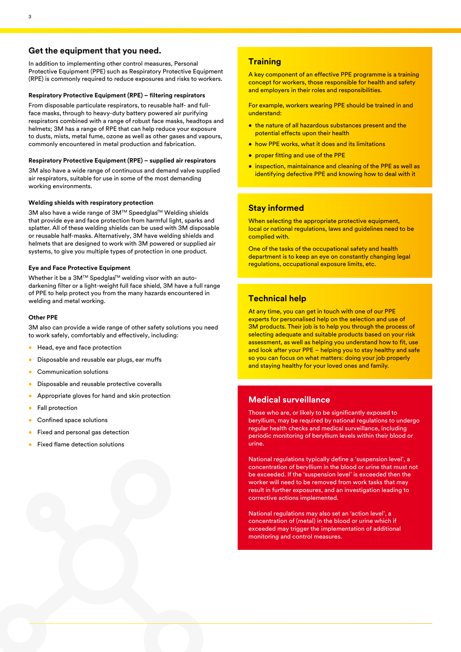# **Get the equipment that you need.**

In addition to implementing other control measures, Personal Protective Equipment (PPE) such as Respiratory Protective Equipment (RPE) is commonly required to reduce exposures and risks to workers.

#### **Respiratory Protective Equipment (RPE) – filtering respirators**

From disposable particulate respirators, to reusable half- and fullface masks, through to heavy-duty battery powered air purifying respirators combined with a range of robust face masks, headtops and helmets; 3M has a range of RPE that can help reduce your exposure to dusts, mists, metal fume, ozone as well as other gases and vapours, commonly encountered in metal production and fabrication.

#### **Respiratory Protective Equipment (RPE) – supplied air respirators**

3M also have a wide range of continuous and demand valve supplied air respirators, suitable for use in some of the most demanding working environments.

#### **Welding shields with respiratory protection**

3M also have a wide range of 3M™ Speedglas™ Welding shields that provide eye and face protection from harmful light, sparks and splatter. All of these welding shields can be used with 3M disposable or reusable half-masks. Alternatively, 3M have welding shields and helmets that are designed to work with 3M powered or supplied air systems, to give you multiple types of protection in one product.

#### **Eye and Face Protective Equipment**

Whether it be a 3M™ Spedglas<sup>™</sup> welding visor with an autodarkening filter or a light-weight full face shield, 3M have a full range of PPE to help protect you from the many hazards encountered in welding and metal working.

#### **Other PPE**

3M also can provide a wide range of other safety solutions you need to work safely, comfortably and effectively, including:

- Head, eye and face protection
- Disposable and reusable ear plugs, ear muffs
- Communication solutions
- Disposable and reusable protective coveralls
- Appropriate gloves for hand and skin protection
- Fall protection
- Confined space solutions
- Fixed and personal gas detection
- Fixed flame detection solutions

# **Training**

A key component of an effective PPE programme is a training concept for workers, those responsible for health and safety and employers in their roles and responsibilities.

For example, workers wearing PPE should be trained in and understand:

- the nature of all hazardous substances present and the potential effects upon their health
- how PPE works, what it does and its limitations
- proper fitting and use of the PPE
- inspection, maintainance and cleaning of the PPE as well as identifying defective PPE and knowing how to deal with it

# **Stay informed**

When selecting the appropriate protective equipment, local or national regulations, laws and guidelines need to be complied with.

One of the tasks of the occupational safety and health department is to keep an eye on constantly changing legal regulations, occupational exposure limits, etc.

# **Technical help**

At any time, you can get in touch with one of our PPE experts for personalised help on the selection and use of 3M products. Their job is to help you through the process of selecting adequate and suitable products based on your risk assessment, as well as helping you understand how to fit, use and look after your PPE – helping you to stay healthy and safe so you can focus on what matters: doing your job properly and staying healthy for your loved ones and family.

# **Medical surveillance**

Those who are, or likely to be significantly exposed to beryllium, may be required by national regulations to undergo regular health checks and medical surveillance, including periodic monitoring of beryllium levels within their blood or urine.

National regulations typically define a 'suspension level', a concentration of beryllium in the blood or urine that must not be exceeded. If the 'suspension level' is exceeded then the worker will need to be removed from work tasks that may result in further exposures, and an investigation leading to corrective actions implemented.

National regulations may also set an 'action level', a concentration of (metal) in the blood or urine which if exceeded may trigger the implementation of additional monitoring and control measures.